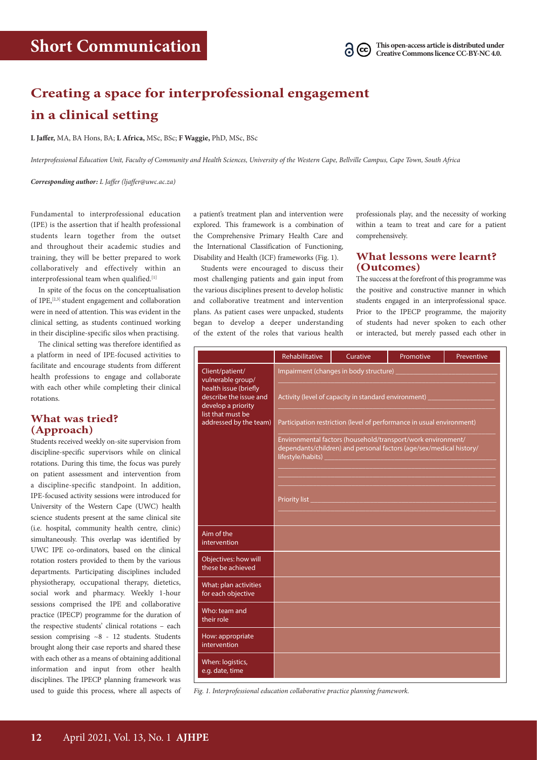

## **Creating a space for interprofessional engagement in a clinical setting**

**L Jaffer,** MA, BA Hons, BA; **L Africa,** MSc, BSc; **F Waggie,** PhD, MSc, BSc

*Interprofessional Education Unit, Faculty of Community and Health Sciences, University of the Western Cape, Bellville Campus, Cape Town, South Africa*

*Corresponding author: L Jaffer (ljaffer@uwc.ac.za)* 

Fundamental to interprofessional education (IPE) is the assertion that if health professional students learn together from the outset and throughout their academic studies and training, they will be better prepared to work collaboratively and effectively within an interprofessional team when qualified.<sup>[1]</sup>

In spite of the focus on the conceptualisation of IPE,<sup>[2,3]</sup> student engagement and collaboration were in need of attention. This was evident in the clinical setting, as students continued working in their discipline-specific silos when practising.

The clinical setting was therefore identified as a platform in need of IPE-focused activities to facilitate and encourage students from different health professions to engage and collaborate with each other while completing their clinical rotations.

## **What was tried? (Approach)**

Students received weekly on-site supervision from discipline-specific supervisors while on clinical rotations. During this time, the focus was purely on patient assessment and intervention from a discipline-specific standpoint. In addition, IPE-focused activity sessions were introduced for University of the Western Cape (UWC) health science students present at the same clinical site (i.e. hospital, community health centre, clinic) simultaneously. This overlap was identified by UWC IPE co-ordinators, based on the clinical rotation rosters provided to them by the various departments. Participating disciplines included physiotherapy, occupational therapy, dietetics, social work and pharmacy. Weekly 1-hour sessions comprised the IPE and collaborative practice (IPECP) programme for the duration of the respective students' clinical rotations – each session comprising ~8 - 12 students. Students brought along their case reports and shared these with each other as a means of obtaining additional information and input from other health disciplines. The IPECP planning framework was used to guide this process, where all aspects of a patient's treatment plan and intervention were explored. This framework is a combination of the Comprehensive Primary Health Care and the International Classification of Functioning, Disability and Health (ICF) frameworks (Fig. 1).

Students were encouraged to discuss their most challenging patients and gain input from the various disciplines present to develop holistic and collaborative treatment and intervention plans. As patient cases were unpacked, students began to develop a deeper understanding of the extent of the roles that various health professionals play, and the necessity of working within a team to treat and care for a patient comprehensively.

## **What lessons were learnt? (Outcomes)**

The success at the forefront of this programme was the positive and constructive manner in which students engaged in an interprofessional space. Prior to the IPECP programme, the majority of students had never spoken to each other or interacted, but merely passed each other in

|                                                                                                                                                              | Rehabilitative                                                                                                                                           | Curative | Promotive | Preventive |
|--------------------------------------------------------------------------------------------------------------------------------------------------------------|----------------------------------------------------------------------------------------------------------------------------------------------------------|----------|-----------|------------|
| Client/patient/<br>vulnerable group/<br>health issue (briefly<br>describe the issue and<br>develop a priority<br>list that must be<br>addressed by the team) | Impairment (changes in body structure)                                                                                                                   |          |           |            |
|                                                                                                                                                              | Activity (level of capacity in standard environment)                                                                                                     |          |           |            |
|                                                                                                                                                              | Participation restriction (level of performance in usual environment)                                                                                    |          |           |            |
|                                                                                                                                                              | Environmental factors (household/transport/work environment/<br>dependants/children) and personal factors (age/sex/medical history/<br>lifestyle/habits) |          |           |            |
|                                                                                                                                                              |                                                                                                                                                          |          |           |            |
|                                                                                                                                                              | Priority list                                                                                                                                            |          |           |            |
|                                                                                                                                                              |                                                                                                                                                          |          |           |            |
| Aim of the<br>intervention                                                                                                                                   |                                                                                                                                                          |          |           |            |
| Objectives: how will<br>these be achieved                                                                                                                    |                                                                                                                                                          |          |           |            |
| What: plan activities<br>for each objective                                                                                                                  |                                                                                                                                                          |          |           |            |
| Who: team and<br>their role                                                                                                                                  |                                                                                                                                                          |          |           |            |
| How: appropriate<br>intervention                                                                                                                             |                                                                                                                                                          |          |           |            |
| When: logistics,<br>e.g. date, time                                                                                                                          |                                                                                                                                                          |          |           |            |

*Fig. 1. Interprofessional education collaborative practice planning framework.*